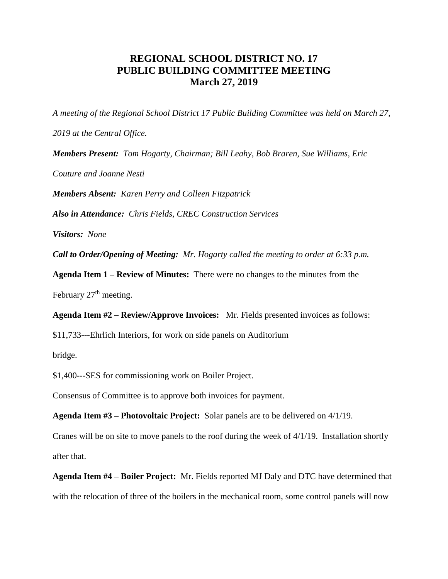## **REGIONAL SCHOOL DISTRICT NO. 17 PUBLIC BUILDING COMMITTEE MEETING March 27, 2019**

*A meeting of the Regional School District 17 Public Building Committee was held on March 27, 2019 at the Central Office.*

*Members Present: Tom Hogarty, Chairman; Bill Leahy, Bob Braren, Sue Williams, Eric* 

*Couture and Joanne Nesti*

*Members Absent: Karen Perry and Colleen Fitzpatrick*

*Also in Attendance: Chris Fields, CREC Construction Services* 

*Visitors: None*

*Call to Order/Opening of Meeting: Mr. Hogarty called the meeting to order at 6:33 p.m.* 

**Agenda Item 1 – Review of Minutes:** There were no changes to the minutes from the

February  $27<sup>th</sup>$  meeting.

**Agenda Item #2 – Review/Approve Invoices:** Mr. Fields presented invoices as follows:

\$11,733---Ehrlich Interiors, for work on side panels on Auditorium

bridge.

\$1,400---SES for commissioning work on Boiler Project.

Consensus of Committee is to approve both invoices for payment.

**Agenda Item #3 – Photovoltaic Project:** Solar panels are to be delivered on 4/1/19.

Cranes will be on site to move panels to the roof during the week of 4/1/19. Installation shortly after that.

**Agenda Item #4 – Boiler Project:** Mr. Fields reported MJ Daly and DTC have determined that with the relocation of three of the boilers in the mechanical room, some control panels will now